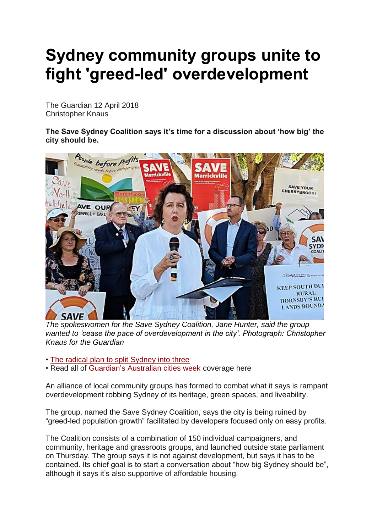## **Sydney community groups unite to fight 'greed-led' overdevelopment**

The Guardian 12 April 2018 Christopher Knaus

**The Save Sydney Coalition says it's time for a discussion about 'how big' the city should be.**



*The spokeswomen for the Save Sydney Coalition, Jane Hunter, said the group wanted to 'cease the pace of overdevelopment in the city'. Photograph: Christopher Knaus for the Guardian*

• [The radical plan to split Sydney into three](https://www.theguardian.com/cities/2018/apr/10/the-radical-plan-to-split-sydney-into-three)

• Read all of [Guardian's Australian cities week](https://www.theguardian.com/cities/series/australian-cities-week) coverage here

An alliance of local community groups has formed to combat what it says is rampant overdevelopment robbing Sydney of its heritage, green spaces, and liveability.

The group, named the Save Sydney Coalition, says the city is being ruined by "greed-led population growth" facilitated by developers focused only on easy profits.

The Coalition consists of a combination of 150 individual campaigners, and community, heritage and grassroots groups, and launched outside state parliament on Thursday. The group says it is not against development, but says it has to be contained. Its chief goal is to start a conversation about "how big Sydney should be", although it says it's also supportive of affordable housing.